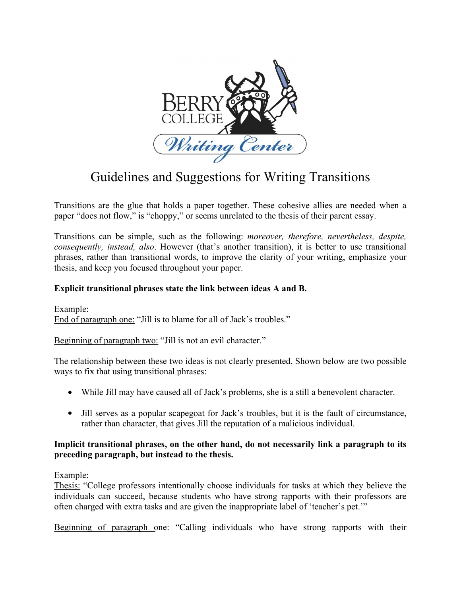

## Guidelines and Suggestions for Writing Transitions

Transitions are the glue that holds a paper together. These cohesive allies are needed when a paper "does not flow," is "choppy," or seems unrelated to the thesis of their parent essay.

Transitions can be simple, such as the following: *moreover, therefore, nevertheless, despite, consequently, instead, also*. However (that's another transition), it is better to use transitional phrases, rather than transitional words, to improve the clarity of your writing, emphasize your thesis, and keep you focused throughout your paper.

## **Explicit transitional phrases state the link between ideas A and B.**

Example: End of paragraph one: "Jill is to blame for all of Jack's troubles."

Beginning of paragraph two: "Jill is not an evil character."

The relationship between these two ideas is not clearly presented. Shown below are two possible ways to fix that using transitional phrases:

- While Jill may have caused all of Jack's problems, she is a still a benevolent character.
- Jill serves as a popular scapegoat for Jack's troubles, but it is the fault of circumstance, rather than character, that gives Jill the reputation of a malicious individual.

## **Implicit transitional phrases, on the other hand, do not necessarily link a paragraph to its preceding paragraph, but instead to the thesis.**

Example:

Thesis: "College professors intentionally choose individuals for tasks at which they believe the individuals can succeed, because students who have strong rapports with their professors are often charged with extra tasks and are given the inappropriate label of 'teacher's pet.'"

Beginning of paragraph one: "Calling individuals who have strong rapports with their